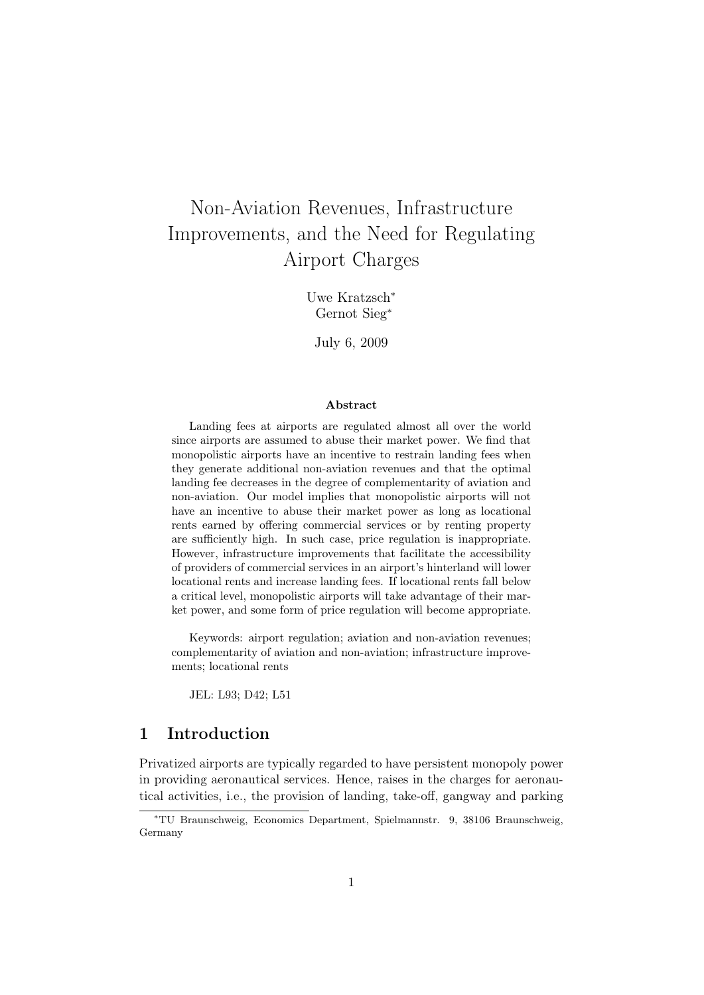# Non-Aviation Revenues, Infrastructure Improvements, and the Need for Regulating Airport Charges

Uwe Kratzsch<sup>∗</sup> Gernot Sieg<sup>∗</sup>

July 6, 2009

#### Abstract

Landing fees at airports are regulated almost all over the world since airports are assumed to abuse their market power. We find that monopolistic airports have an incentive to restrain landing fees when they generate additional non-aviation revenues and that the optimal landing fee decreases in the degree of complementarity of aviation and non-aviation. Our model implies that monopolistic airports will not have an incentive to abuse their market power as long as locational rents earned by offering commercial services or by renting property are sufficiently high. In such case, price regulation is inappropriate. However, infrastructure improvements that facilitate the accessibility of providers of commercial services in an airport's hinterland will lower locational rents and increase landing fees. If locational rents fall below a critical level, monopolistic airports will take advantage of their market power, and some form of price regulation will become appropriate.

Keywords: airport regulation; aviation and non-aviation revenues; complementarity of aviation and non-aviation; infrastructure improvements; locational rents

JEL: L93; D42; L51

# 1 Introduction

Privatized airports are typically regarded to have persistent monopoly power in providing aeronautical services. Hence, raises in the charges for aeronautical activities, i.e., the provision of landing, take-off, gangway and parking

<sup>∗</sup>TU Braunschweig, Economics Department, Spielmannstr. 9, 38106 Braunschweig, Germany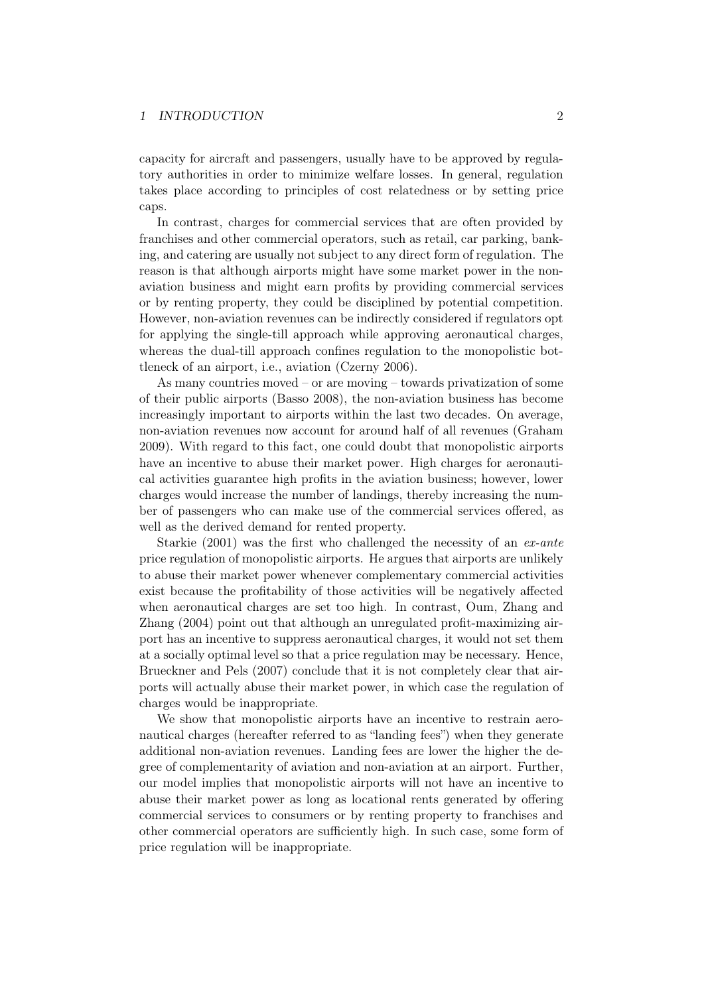#### 1 INTRODUCTION 2

capacity for aircraft and passengers, usually have to be approved by regulatory authorities in order to minimize welfare losses. In general, regulation takes place according to principles of cost relatedness or by setting price caps.

In contrast, charges for commercial services that are often provided by franchises and other commercial operators, such as retail, car parking, banking, and catering are usually not subject to any direct form of regulation. The reason is that although airports might have some market power in the nonaviation business and might earn profits by providing commercial services or by renting property, they could be disciplined by potential competition. However, non-aviation revenues can be indirectly considered if regulators opt for applying the single-till approach while approving aeronautical charges, whereas the dual-till approach confines regulation to the monopolistic bottleneck of an airport, i.e., aviation (Czerny 2006).

As many countries moved – or are moving – towards privatization of some of their public airports (Basso 2008), the non-aviation business has become increasingly important to airports within the last two decades. On average, non-aviation revenues now account for around half of all revenues (Graham 2009). With regard to this fact, one could doubt that monopolistic airports have an incentive to abuse their market power. High charges for aeronautical activities guarantee high profits in the aviation business; however, lower charges would increase the number of landings, thereby increasing the number of passengers who can make use of the commercial services offered, as well as the derived demand for rented property.

Starkie (2001) was the first who challenged the necessity of an  $ex$ -ante price regulation of monopolistic airports. He argues that airports are unlikely to abuse their market power whenever complementary commercial activities exist because the profitability of those activities will be negatively affected when aeronautical charges are set too high. In contrast, Oum, Zhang and Zhang (2004) point out that although an unregulated profit-maximizing airport has an incentive to suppress aeronautical charges, it would not set them at a socially optimal level so that a price regulation may be necessary. Hence, Brueckner and Pels (2007) conclude that it is not completely clear that airports will actually abuse their market power, in which case the regulation of charges would be inappropriate.

We show that monopolistic airports have an incentive to restrain aeronautical charges (hereafter referred to as "landing fees") when they generate additional non-aviation revenues. Landing fees are lower the higher the degree of complementarity of aviation and non-aviation at an airport. Further, our model implies that monopolistic airports will not have an incentive to abuse their market power as long as locational rents generated by offering commercial services to consumers or by renting property to franchises and other commercial operators are sufficiently high. In such case, some form of price regulation will be inappropriate.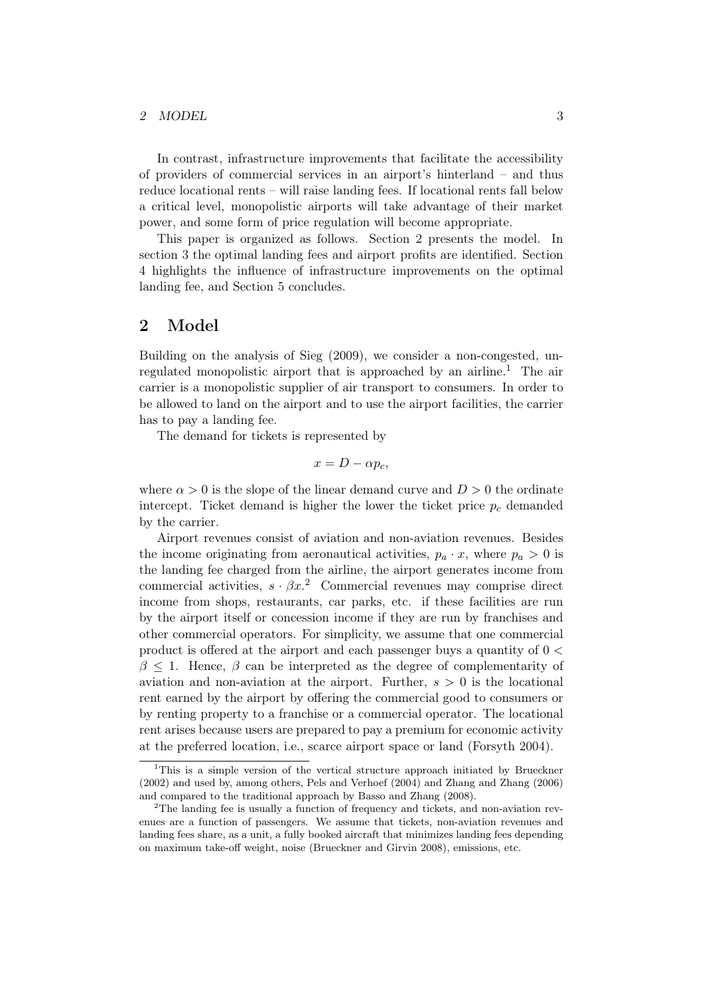#### 2 MODEL 3

In contrast, infrastructure improvements that facilitate the accessibility of providers of commercial services in an airport's hinterland – and thus reduce locational rents – will raise landing fees. If locational rents fall below a critical level, monopolistic airports will take advantage of their market power, and some form of price regulation will become appropriate.

This paper is organized as follows. Section 2 presents the model. In section 3 the optimal landing fees and airport profits are identified. Section 4 highlights the influence of infrastructure improvements on the optimal landing fee, and Section 5 concludes.

### 2 Model

Building on the analysis of Sieg (2009), we consider a non-congested, unregulated monopolistic airport that is approached by an airline.<sup>1</sup> The air carrier is a monopolistic supplier of air transport to consumers. In order to be allowed to land on the airport and to use the airport facilities, the carrier has to pay a landing fee.

The demand for tickets is represented by

$$
x = D - \alpha p_c,
$$

where  $\alpha > 0$  is the slope of the linear demand curve and  $D > 0$  the ordinate intercept. Ticket demand is higher the lower the ticket price  $p_c$  demanded by the carrier.

Airport revenues consist of aviation and non-aviation revenues. Besides the income originating from aeronautical activities,  $p_a \cdot x$ , where  $p_a > 0$  is the landing fee charged from the airline, the airport generates income from commercial activities,  $s \cdot \beta x$ <sup>2</sup> Commercial revenues may comprise direct income from shops, restaurants, car parks, etc. if these facilities are run by the airport itself or concession income if they are run by franchises and other commercial operators. For simplicity, we assume that one commercial product is offered at the airport and each passenger buys a quantity of 0 <  $\beta$  < 1. Hence,  $\beta$  can be interpreted as the degree of complementarity of aviation and non-aviation at the airport. Further,  $s > 0$  is the locational rent earned by the airport by offering the commercial good to consumers or by renting property to a franchise or a commercial operator. The locational rent arises because users are prepared to pay a premium for economic activity at the preferred location, i.e., scarce airport space or land (Forsyth 2004).

<sup>&</sup>lt;sup>1</sup>This is a simple version of the vertical structure approach initiated by Brueckner (2002) and used by, among others, Pels and Verhoef (2004) and Zhang and Zhang (2006) and compared to the traditional approach by Basso and Zhang (2008).

<sup>2</sup>The landing fee is usually a function of frequency and tickets, and non-aviation revenues are a function of passengers. We assume that tickets, non-aviation revenues and landing fees share, as a unit, a fully booked aircraft that minimizes landing fees depending on maximum take-off weight, noise (Brueckner and Girvin 2008), emissions, etc.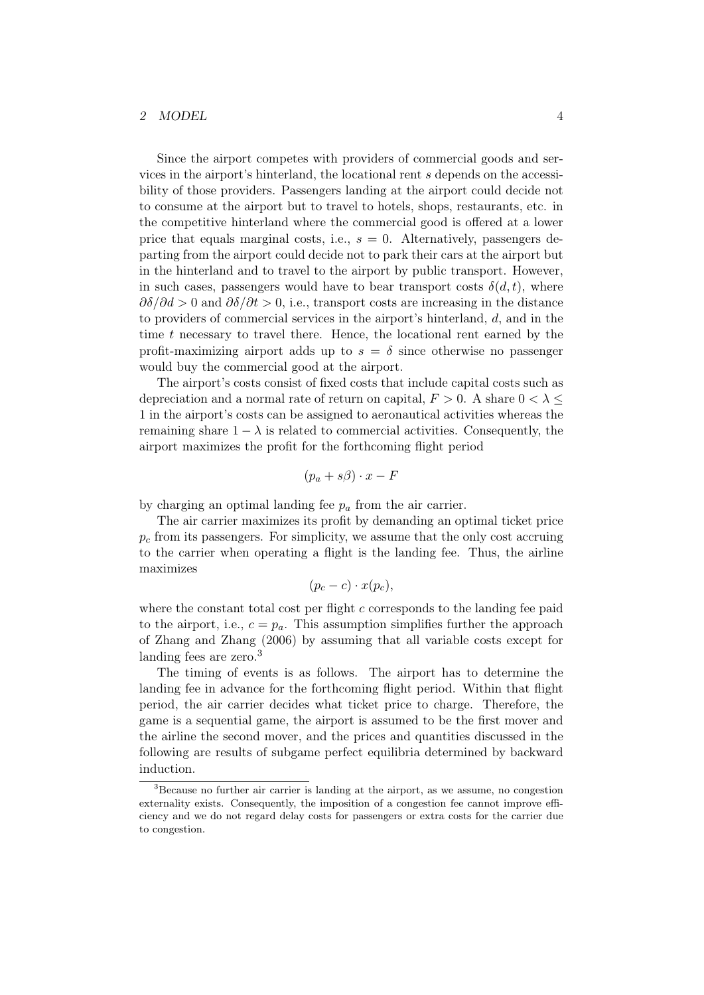#### 2 MODEL 4

Since the airport competes with providers of commercial goods and services in the airport's hinterland, the locational rent s depends on the accessibility of those providers. Passengers landing at the airport could decide not to consume at the airport but to travel to hotels, shops, restaurants, etc. in the competitive hinterland where the commercial good is offered at a lower price that equals marginal costs, i.e.,  $s = 0$ . Alternatively, passengers departing from the airport could decide not to park their cars at the airport but in the hinterland and to travel to the airport by public transport. However, in such cases, passengers would have to bear transport costs  $\delta(d, t)$ , where  $\partial \delta/\partial d > 0$  and  $\partial \delta/\partial t > 0$ , i.e., transport costs are increasing in the distance to providers of commercial services in the airport's hinterland, d, and in the time t necessary to travel there. Hence, the locational rent earned by the profit-maximizing airport adds up to  $s = \delta$  since otherwise no passenger would buy the commercial good at the airport.

The airport's costs consist of fixed costs that include capital costs such as depreciation and a normal rate of return on capital,  $F > 0$ . A share  $0 < \lambda \leq$ 1 in the airport's costs can be assigned to aeronautical activities whereas the remaining share  $1 - \lambda$  is related to commercial activities. Consequently, the airport maximizes the profit for the forthcoming flight period

$$
(p_a + s\beta) \cdot x - F
$$

by charging an optimal landing fee  $p_a$  from the air carrier.

The air carrier maximizes its profit by demanding an optimal ticket price  $p<sub>c</sub>$  from its passengers. For simplicity, we assume that the only cost accruing to the carrier when operating a flight is the landing fee. Thus, the airline maximizes

$$
(p_c-c)\cdot x(p_c),
$$

where the constant total cost per flight  $c$  corresponds to the landing fee paid to the airport, i.e.,  $c = p_a$ . This assumption simplifies further the approach of Zhang and Zhang (2006) by assuming that all variable costs except for landing fees are zero.<sup>3</sup>

The timing of events is as follows. The airport has to determine the landing fee in advance for the forthcoming flight period. Within that flight period, the air carrier decides what ticket price to charge. Therefore, the game is a sequential game, the airport is assumed to be the first mover and the airline the second mover, and the prices and quantities discussed in the following are results of subgame perfect equilibria determined by backward induction.

<sup>&</sup>lt;sup>3</sup>Because no further air carrier is landing at the airport, as we assume, no congestion externality exists. Consequently, the imposition of a congestion fee cannot improve efficiency and we do not regard delay costs for passengers or extra costs for the carrier due to congestion.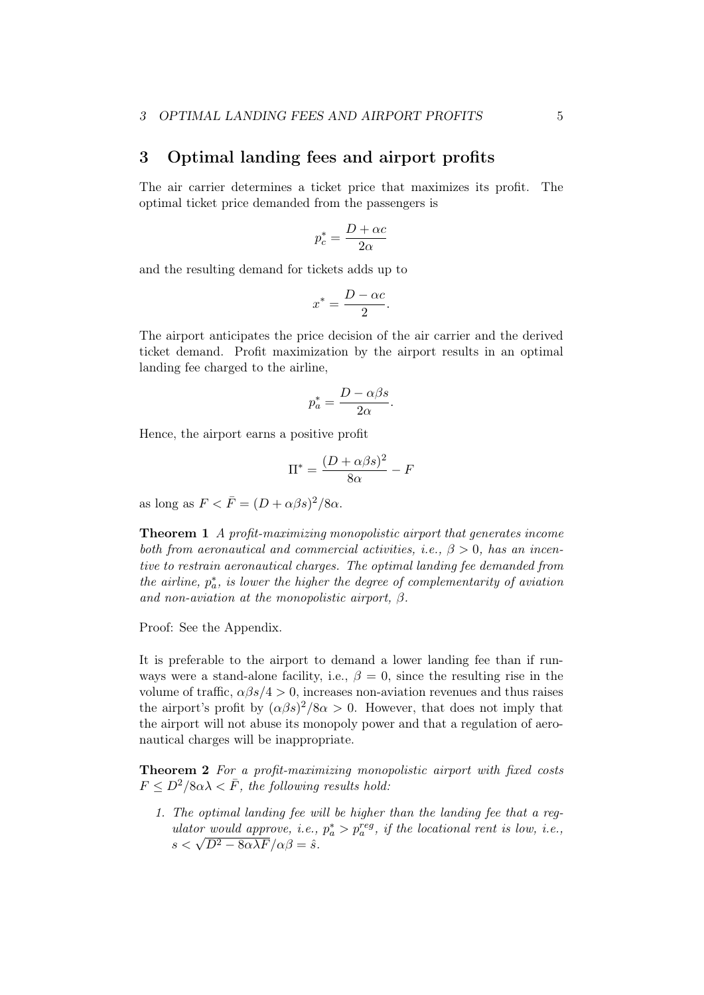### 3 Optimal landing fees and airport profits

The air carrier determines a ticket price that maximizes its profit. The optimal ticket price demanded from the passengers is

$$
p_c^* = \frac{D + \alpha c}{2\alpha}
$$

and the resulting demand for tickets adds up to

$$
x^* = \frac{D - \alpha c}{2}.
$$

The airport anticipates the price decision of the air carrier and the derived ticket demand. Profit maximization by the airport results in an optimal landing fee charged to the airline,

$$
p_a^* = \frac{D - \alpha \beta s}{2\alpha}.
$$

Hence, the airport earns a positive profit

$$
\Pi^* = \frac{(D + \alpha\beta s)^2}{8\alpha} - F
$$

as long as  $F < \bar{F} = (D + \alpha \beta s)^2 / 8 \alpha$ .

Theorem 1 A profit-maximizing monopolistic airport that generates income both from aeronautical and commercial activities, i.e.,  $\beta > 0$ , has an incentive to restrain aeronautical charges. The optimal landing fee demanded from the airline,  $p_a^*$ , is lower the higher the degree of complementarity of aviation and non-aviation at the monopolistic airport,  $\beta$ .

Proof: See the Appendix.

It is preferable to the airport to demand a lower landing fee than if runways were a stand-alone facility, i.e.,  $\beta = 0$ , since the resulting rise in the volume of traffic,  $\alpha\beta s/4 > 0$ , increases non-aviation revenues and thus raises the airport's profit by  $(\alpha\beta s)^2/8\alpha > 0$ . However, that does not imply that the airport will not abuse its monopoly power and that a regulation of aeronautical charges will be inappropriate.

Theorem 2 For a profit-maximizing monopolistic airport with fixed costs  $F \leq D^2/8\alpha\lambda \lt F$ , the following results hold:

1. The optimal landing fee will be higher than the landing fee that a regulator would approve, i.e.,  $p_a^* > p_a^{reg}$ , if the locational rent is low, i.e., utator would approve, i.e.,<br>  $s < \sqrt{D^2 - 8\alpha\lambda F}/\alpha\beta = \hat{s}.$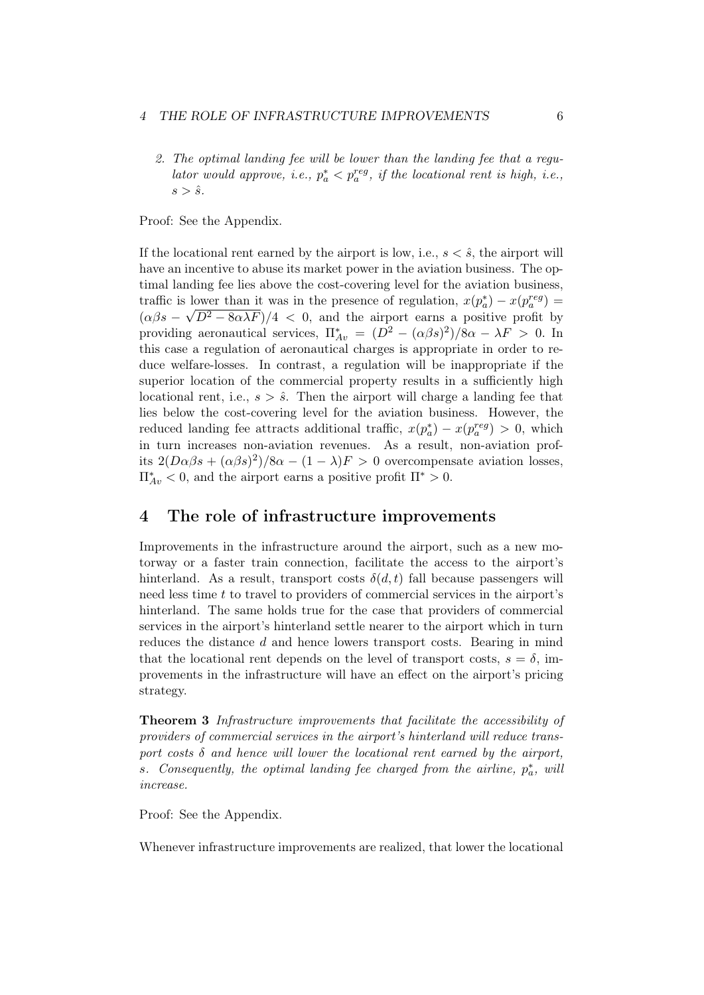#### 4 THE ROLE OF INFRASTRUCTURE IMPROVEMENTS 6

2. The optimal landing fee will be lower than the landing fee that a regulator would approve, i.e.,  $p_a^* < p_a^{reg}$ , if the locational rent is high, i.e.,  $s > \hat{s}$ .

Proof: See the Appendix.

If the locational rent earned by the airport is low, i.e.,  $s < \hat{s}$ , the airport will have an incentive to abuse its market power in the aviation business. The optimal landing fee lies above the cost-covering level for the aviation business, traffic is lower than it was in the presence of regulation,  $x(p_a^*) - x(p_a^{reg}) =$  $(\alpha\beta s - \sqrt{D^2 - 8\alpha\lambda F})/4 < 0$ , and the airport earns a positive profit by providing aeronautical services,  $\Pi_{Av}^* = (D^2 - (\alpha \beta s)^2)/8\alpha - \lambda F > 0$ . In this case a regulation of aeronautical charges is appropriate in order to reduce welfare-losses. In contrast, a regulation will be inappropriate if the superior location of the commercial property results in a sufficiently high locational rent, i.e.,  $s > \hat{s}$ . Then the airport will charge a landing fee that lies below the cost-covering level for the aviation business. However, the reduced landing fee attracts additional traffic,  $x(p_a^*) - x(p_a^{reg}) > 0$ , which in turn increases non-aviation revenues. As a result, non-aviation profits  $2(D\alpha\beta s + (\alpha\beta s)^2)/8\alpha - (1-\lambda)F > 0$  overcompensate aviation losses,  $\Pi_{Av}^* < 0$ , and the airport earns a positive profit  $\Pi^* > 0$ .

### 4 The role of infrastructure improvements

Improvements in the infrastructure around the airport, such as a new motorway or a faster train connection, facilitate the access to the airport's hinterland. As a result, transport costs  $\delta(d, t)$  fall because passengers will need less time t to travel to providers of commercial services in the airport's hinterland. The same holds true for the case that providers of commercial services in the airport's hinterland settle nearer to the airport which in turn reduces the distance d and hence lowers transport costs. Bearing in mind that the locational rent depends on the level of transport costs,  $s = \delta$ , improvements in the infrastructure will have an effect on the airport's pricing strategy.

Theorem 3 Infrastructure improvements that facilitate the accessibility of providers of commercial services in the airport's hinterland will reduce transport costs  $\delta$  and hence will lower the locational rent earned by the airport, s. Consequently, the optimal landing fee charged from the airline,  $p_a^*$ , will increase.

Proof: See the Appendix.

Whenever infrastructure improvements are realized, that lower the locational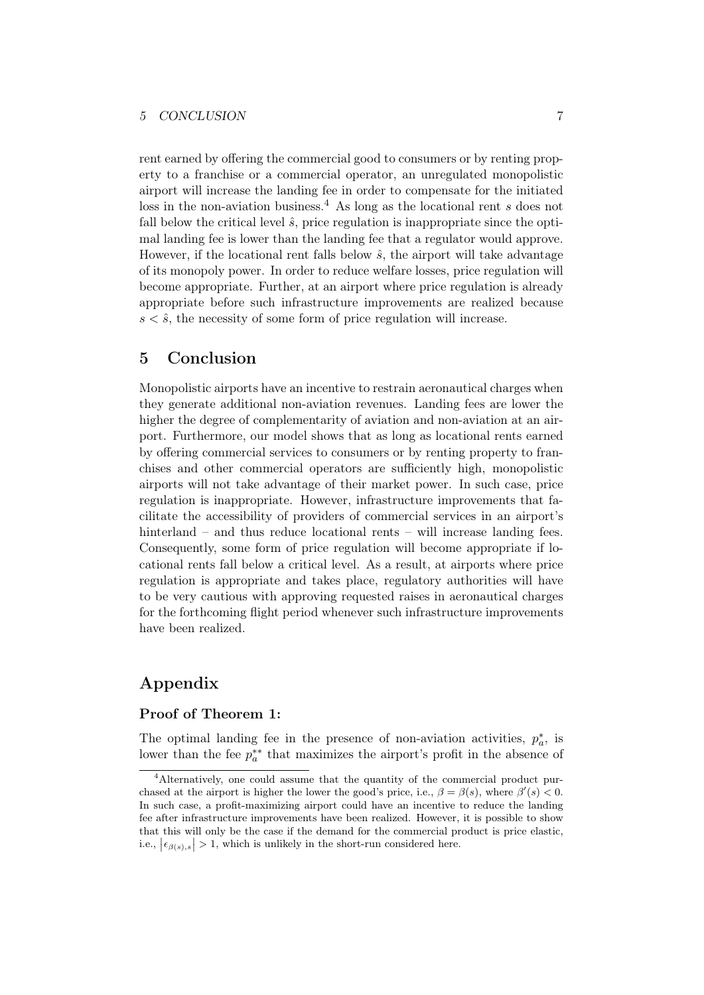rent earned by offering the commercial good to consumers or by renting property to a franchise or a commercial operator, an unregulated monopolistic airport will increase the landing fee in order to compensate for the initiated loss in the non-aviation business.<sup>4</sup> As long as the locational rent s does not fall below the critical level  $\hat{s}$ , price regulation is inappropriate since the optimal landing fee is lower than the landing fee that a regulator would approve. However, if the locational rent falls below  $\hat{s}$ , the airport will take advantage of its monopoly power. In order to reduce welfare losses, price regulation will become appropriate. Further, at an airport where price regulation is already appropriate before such infrastructure improvements are realized because  $s \leq \hat{s}$ , the necessity of some form of price regulation will increase.

## 5 Conclusion

Monopolistic airports have an incentive to restrain aeronautical charges when they generate additional non-aviation revenues. Landing fees are lower the higher the degree of complementarity of aviation and non-aviation at an airport. Furthermore, our model shows that as long as locational rents earned by offering commercial services to consumers or by renting property to franchises and other commercial operators are sufficiently high, monopolistic airports will not take advantage of their market power. In such case, price regulation is inappropriate. However, infrastructure improvements that facilitate the accessibility of providers of commercial services in an airport's hinterland – and thus reduce locational rents – will increase landing fees. Consequently, some form of price regulation will become appropriate if locational rents fall below a critical level. As a result, at airports where price regulation is appropriate and takes place, regulatory authorities will have to be very cautious with approving requested raises in aeronautical charges for the forthcoming flight period whenever such infrastructure improvements have been realized.

# Appendix

### Proof of Theorem 1:

The optimal landing fee in the presence of non-aviation activities,  $p_a^*$ , is lower than the fee  $p_a^{**}$  that maximizes the airport's profit in the absence of

<sup>&</sup>lt;sup>4</sup>Alternatively, one could assume that the quantity of the commercial product purchased at the airport is higher the lower the good's price, i.e.,  $\beta = \beta(s)$ , where  $\beta'(s) < 0$ . In such case, a profit-maximizing airport could have an incentive to reduce the landing fee after infrastructure improvements have been realized. However, it is possible to show that this will only be the case if the demand for the commercial product is price elastic, i.e.,  $|\epsilon_{\beta(s),s}| > 1$ , which is unlikely in the short-run considered here.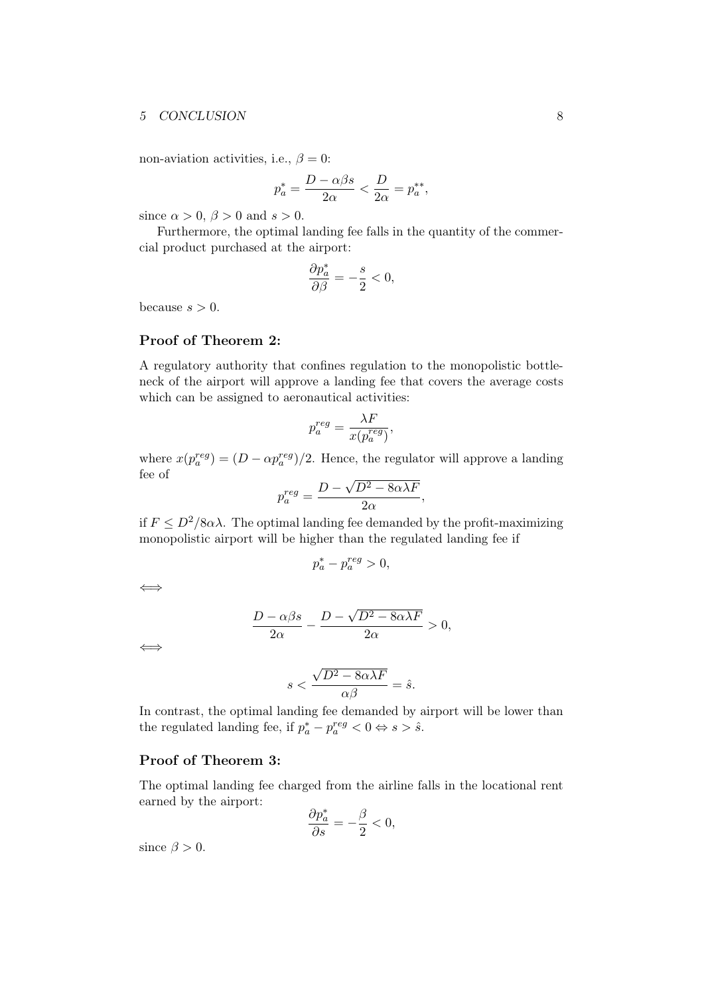#### 5 CONCLUSION 8

non-aviation activities, i.e.,  $\beta = 0$ :

$$
p_a^* = \frac{D - \alpha\beta s}{2\alpha} < \frac{D}{2\alpha} = p_a^{**},
$$

since  $\alpha > 0$ ,  $\beta > 0$  and  $s > 0$ .

Furthermore, the optimal landing fee falls in the quantity of the commercial product purchased at the airport:

$$
\frac{\partial p_a^*}{\partial \beta}=-\frac{s}{2}<0,
$$

because  $s > 0$ .

### Proof of Theorem 2:

A regulatory authority that confines regulation to the monopolistic bottleneck of the airport will approve a landing fee that covers the average costs which can be assigned to aeronautical activities:

$$
p_a^{reg} = \frac{\lambda F}{x(p_a^{reg})},
$$

where  $x(p_a^{reg}) = (D - \alpha p_a^{reg})/2$ . Hence, the regulator will approve a landing fee of √

$$
p_a^{reg} = \frac{D - \sqrt{D^2 - 8\alpha\lambda F}}{2\alpha},
$$

if  $F \n\t\le D^2/8\alpha\lambda$ . The optimal landing fee demanded by the profit-maximizing monopolistic airport will be higher than the regulated landing fee if

$$
p_a^* - p_a^{reg} > 0,
$$

⇐⇒

$$
\frac{D-\alpha\beta s}{2\alpha} - \frac{D-\sqrt{D^2-8\alpha\lambda F}}{2\alpha} > 0,
$$

⇐⇒

$$
s < \frac{\sqrt{D^2 - 8\alpha\lambda F}}{\alpha\beta} = \hat{s}.
$$

In contrast, the optimal landing fee demanded by airport will be lower than the regulated landing fee, if  $p_a^* - p_a^{reg} < 0 \Leftrightarrow s > \hat{s}$ .

### Proof of Theorem 3:

The optimal landing fee charged from the airline falls in the locational rent earned by the airport: ∂p<sup>∗</sup>

$$
\frac{\partial p_a^*}{\partial s} = -\frac{\beta}{2} < 0,
$$

since  $\beta > 0$ .